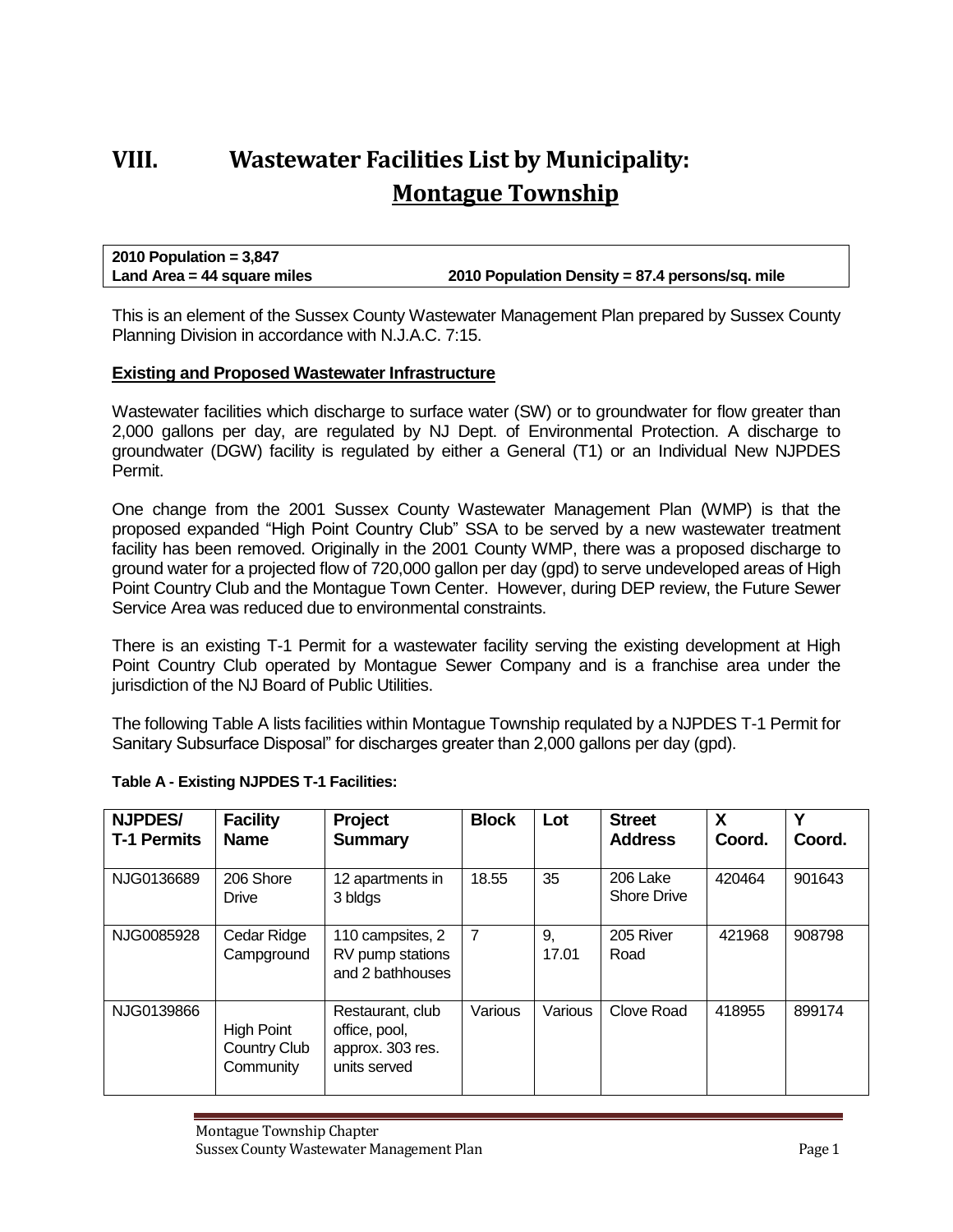## **VIII. Wastewater Facilities List by Municipality: Montague Township**

**2010 Population = 3,847 Land Area = 44 square miles 2010 Population Density = 87.4 persons/sq. mile**

This is an element of the Sussex County Wastewater Management Plan prepared by Sussex County Planning Division in accordance with N.J.A.C. 7:15.

## **Existing and Proposed Wastewater Infrastructure**

Wastewater facilities which discharge to surface water (SW) or to groundwater for flow greater than 2,000 gallons per day, are regulated by NJ Dept. of Environmental Protection. A discharge to groundwater (DGW) facility is regulated by either a General (T1) or an Individual New NJPDES Permit.

One change from the 2001 Sussex County Wastewater Management Plan (WMP) is that the proposed expanded "High Point Country Club" SSA to be served by a new wastewater treatment facility has been removed. Originally in the 2001 County WMP, there was a proposed discharge to ground water for a projected flow of 720,000 gallon per day (gpd) to serve undeveloped areas of High Point Country Club and the Montague Town Center. However, during DEP review, the Future Sewer Service Area was reduced due to environmental constraints.

There is an existing T-1 Permit for a wastewater facility serving the existing development at High Point Country Club operated by Montague Sewer Company and is a franchise area under the jurisdiction of the NJ Board of Public Utilities.

The following Table A lists facilities within Montague Township requlated by a NJPDES T-1 Permit for Sanitary Subsurface Disposal" for discharges greater than 2,000 gallons per day (gpd).

| <b>NJPDES/</b><br><b>T-1 Permits</b> | <b>Facility</b><br><b>Name</b>                        | Project<br><b>Summary</b>                                             | <b>Block</b>   | Lot         | <b>Street</b><br><b>Address</b> | X<br>Coord. | v<br>Coord. |
|--------------------------------------|-------------------------------------------------------|-----------------------------------------------------------------------|----------------|-------------|---------------------------------|-------------|-------------|
| NJG0136689                           | 206 Shore<br>Drive                                    | 12 apartments in<br>3 bldgs                                           | 18.55          | 35          | 206 Lake<br><b>Shore Drive</b>  | 420464      | 901643      |
| NJG0085928                           | Cedar Ridge<br>Campground                             | 110 campsites, 2<br>RV pump stations<br>and 2 bathhouses              | $\overline{7}$ | 9,<br>17.01 | 205 River<br>Road               | 421968      | 908798      |
| NJG0139866                           | <b>High Point</b><br><b>Country Club</b><br>Community | Restaurant, club<br>office, pool,<br>approx. 303 res.<br>units served | Various        | Various     | Clove Road                      | 418955      | 899174      |

## **Table A - Existing NJPDES T-1 Facilities:**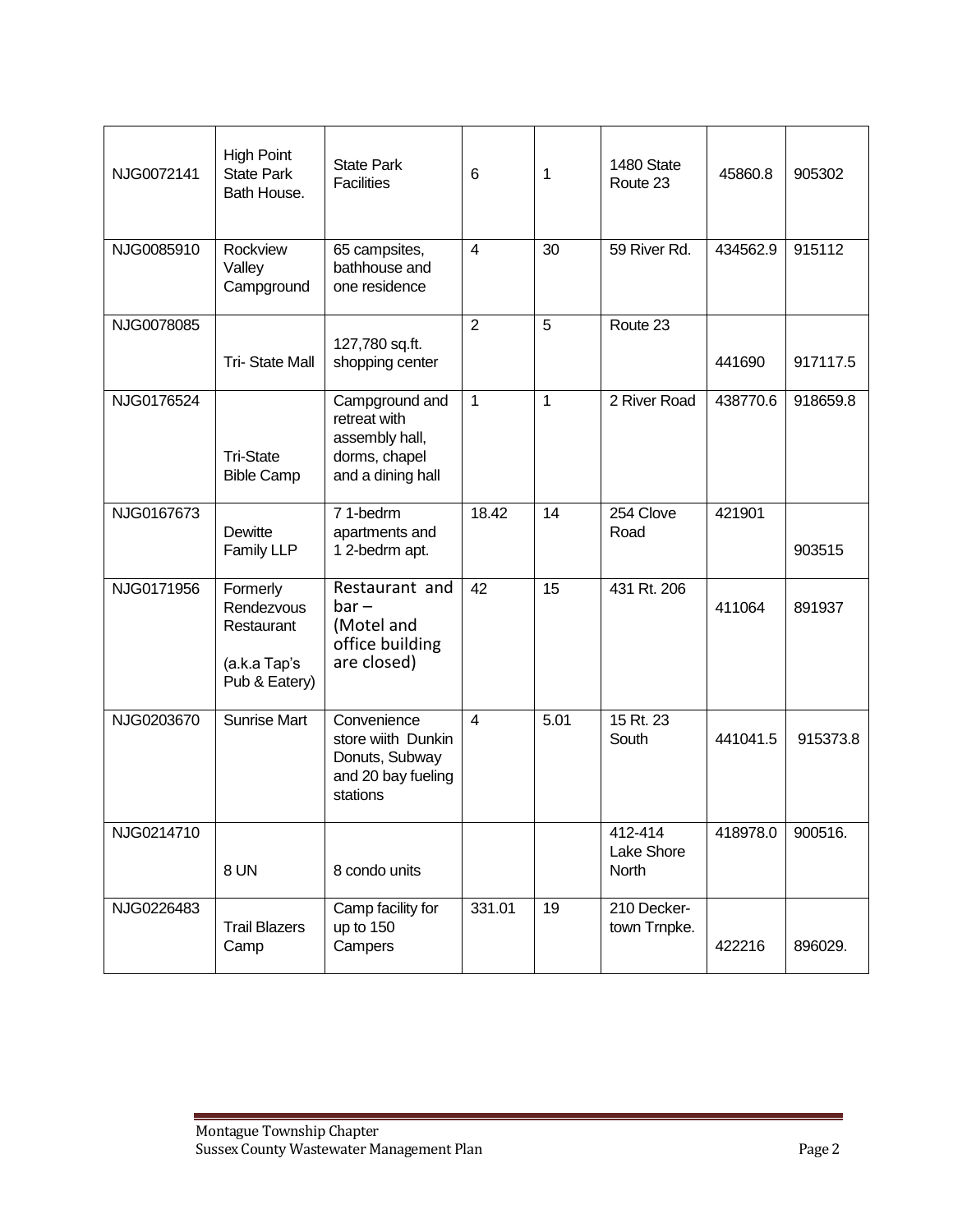| NJG0072141 | <b>High Point</b><br><b>State Park</b><br>Bath House.                 | <b>State Park</b><br><b>Facilities</b>                                                 | 6              | 1    | 1480 State<br>Route 23         | 45860.8  | 905302   |
|------------|-----------------------------------------------------------------------|----------------------------------------------------------------------------------------|----------------|------|--------------------------------|----------|----------|
| NJG0085910 | Rockview<br>Valley<br>Campground                                      | 65 campsites,<br>bathhouse and<br>one residence                                        | $\overline{4}$ | 30   | 59 River Rd.                   | 434562.9 | 915112   |
| NJG0078085 | <b>Tri-State Mall</b>                                                 | 127,780 sq.ft.<br>shopping center                                                      | $\overline{2}$ | 5    | Route 23                       | 441690   | 917117.5 |
| NJG0176524 | <b>Tri-State</b><br><b>Bible Camp</b>                                 | Campground and<br>retreat with<br>assembly hall,<br>dorms, chapel<br>and a dining hall | 1              | 1    | 2 River Road                   | 438770.6 | 918659.8 |
| NJG0167673 | Dewitte<br>Family LLP                                                 | 71-bedrm<br>apartments and<br>12-bedrm apt.                                            | 18.42          | 14   | 254 Clove<br>Road              | 421901   | 903515   |
| NJG0171956 | Formerly<br>Rendezvous<br>Restaurant<br>(a.k.a Tap's<br>Pub & Eatery) | Restaurant and<br>$bar -$<br>(Motel and<br>office building<br>are closed)              | 42             | 15   | 431 Rt. 206                    | 411064   | 891937   |
| NJG0203670 | Sunrise Mart                                                          | Convenience<br>store wiith Dunkin<br>Donuts, Subway<br>and 20 bay fueling<br>stations  | 4              | 5.01 | 15 Rt. 23<br>South             | 441041.5 | 915373.8 |
| NJG0214710 | 8 UN                                                                  | 8 condo units                                                                          |                |      | 412-414<br>Lake Shore<br>North | 418978.0 | 900516.  |
| NJG0226483 | <b>Trail Blazers</b><br>Camp                                          | Camp facility for<br>up to 150<br>Campers                                              | 331.01         | 19   | 210 Decker-<br>town Trnpke.    | 422216   | 896029.  |